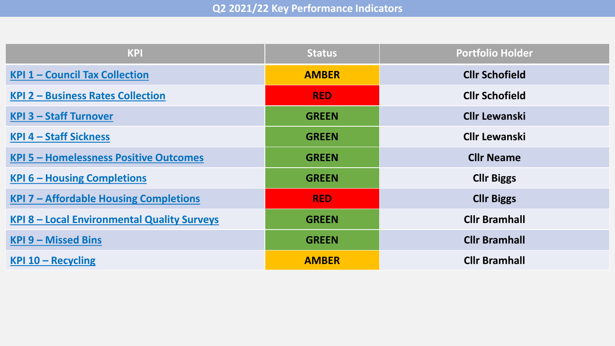| <b>KPI</b>                                         | <b>Status</b> | <b>Portfolio Holder</b> |
|----------------------------------------------------|---------------|-------------------------|
| <b>KPI 1 - Council Tax Collection</b>              | <b>AMBER</b>  | <b>Cllr Schofield</b>   |
| <b>KPI 2 - Business Rates Collection</b>           | <b>RED</b>    | <b>Cllr Schofield</b>   |
| <b>KPI 3 - Staff Turnover</b>                      | <b>GREEN</b>  | <b>Cllr Lewanski</b>    |
| <b>KPI 4 - Staff Sickness</b>                      | <b>GREEN</b>  | <b>Cllr Lewanski</b>    |
| <b>KPI 5 - Homelessness Positive Outcomes</b>      | <b>GREEN</b>  | <b>Cllr Neame</b>       |
| <b>KPI 6 - Housing Completions</b>                 | <b>GREEN</b>  | <b>Cllr Biggs</b>       |
| <b>KPI 7 - Affordable Housing Completions</b>      | <b>RED</b>    | <b>Cllr Biggs</b>       |
| <b>KPI 8 - Local Environmental Quality Surveys</b> | <b>GREEN</b>  | <b>Cllr Bramhall</b>    |
| <b>KPI 9 - Missed Bins</b>                         | <b>GREEN</b>  | <b>Cllr Bramhall</b>    |
| <b>KPI 10 - Recycling</b>                          | <b>AMBER</b>  | <b>Cllr Bramhall</b>    |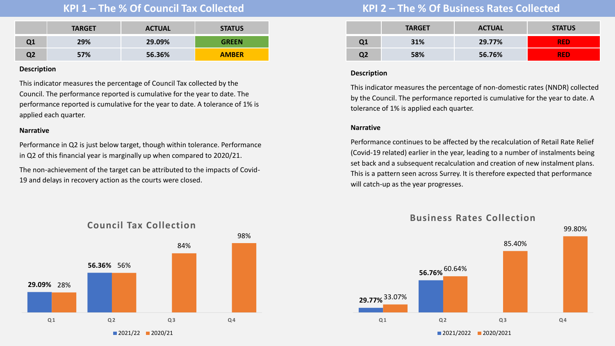<span id="page-1-0"></span>

|    | <b>TARGET</b> | <b>ACTUAL</b> | <b>STATUS</b> |
|----|---------------|---------------|---------------|
| Q1 | 29%           | 29.09%        | <b>GREEN</b>  |
| Q2 | 57%           | 56.36%        | <b>AMBER</b>  |

This indicator measures the percentage of Council Tax collected by the Council. The performance reported is cumulative for the year to date. The performance reported is cumulative for the year to date. A tolerance of 1% is applied each quarter.

## **Narrative**

Performance in Q2 is just below target, though within tolerance. Performance in Q2 of this financial year is marginally up when compared to 2020/21.

The non-achievement of the target can be attributed to the impacts of Covid-19 and delays in recovery action as the courts were closed.

# **KPI 1 – The % Of Council Tax Collected KPI 2 – The % Of Business Rates Collected**

|    | <b>TARGET</b> | <b>ACTUAL</b> | <b>STATUS</b> |
|----|---------------|---------------|---------------|
| Q1 | 31%           | 29.77%        | <b>RED</b>    |
| Q2 | 58%           | 56.76%        | <b>RED</b>    |

## **Description**

This indicator measures the percentage of non-domestic rates (NNDR) collected by the Council. The performance reported is cumulative for the year to date. A tolerance of 1% is applied each quarter.

## **Narrative**

Performance continues to be affected by the recalculation of Retail Rate Relief (Covid-19 related) earlier in the year, leading to a number of instalments being set back and a subsequent recalculation and creation of new instalment plans. This is a pattern seen across Surrey. It is therefore expected that performance will catch-up as the year progresses.





 $2021/2022$  2020/2021

**Q 1 Q 2 Q 3 Q 4**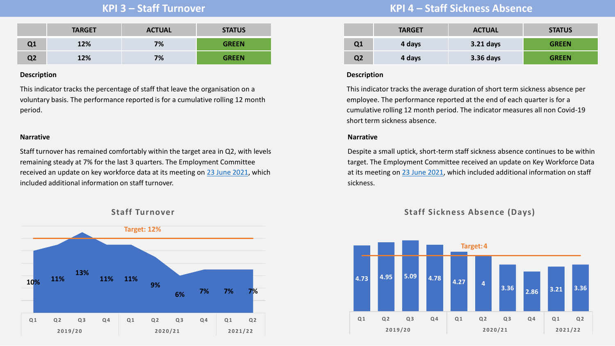<span id="page-2-0"></span>

|    | <b>TARGET</b> | <b>ACTUAL</b> | <b>STATUS</b> |
|----|---------------|---------------|---------------|
| Q1 | 12%           | 7%            | <b>GREEN</b>  |
| Q2 | 12%           | 7%            | <b>GREEN</b>  |

This indicator tracks the percentage of staff that leave the organisation on a voluntary basis. The performance reported is for a cumulative rolling 12 month period.

## **Narrative**

Staff turnover has remained comfortably within the target area in Q2, with levels remaining steady at 7% for the last 3 quarters. The Employment Committee received an update on key workforce data at its meeting on [23 June 2021,](https://reigate-banstead.moderngov.co.uk/ieListDocuments.aspx?CId=138&MId=1843&Ver=4) which included additional information on staff turnover.



## **Staff Turnover**

# **KPI 3 – Staff Turnover KPI 4 – Staff Sickness Absence**

|    | <b>TARGET</b> | <b>ACTUAL</b> | <b>STATUS</b> |
|----|---------------|---------------|---------------|
| Q1 | 4 days        | $3.21$ days   | <b>GREEN</b>  |
| Q2 | 4 days        | 3.36 days     | <b>GREEN</b>  |

## **Description**

This indicator tracks the average duration of short term sickness absence per employee. The performance reported at the end of each quarter is for a cumulative rolling 12 month period. The indicator measures all non Covid-19 short term sickness absence.

## **Narrative**

Despite a small uptick, short-term staff sickness absence continues to be within target. The Employment Committee received an update on Key Workforce Data at its meeting on [23 June 2021](https://reigate-banstead.moderngov.co.uk/ieListDocuments.aspx?CId=138&MId=1843&Ver=4), which included additional information on staff sickness.

## **Staff Sickness Absence (Days)**

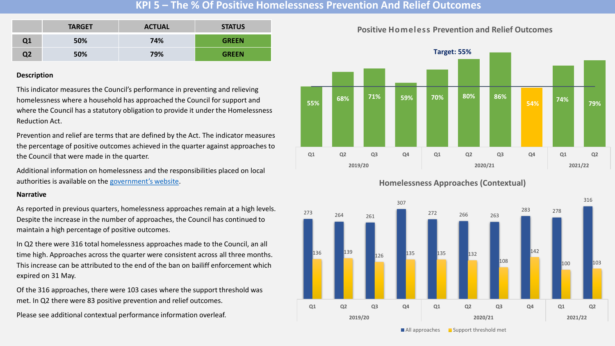## **KPI 5 – The % Of Positive Homelessness Prevention And Relief Outcomes**

<span id="page-3-0"></span>

|    | <b>TARGET</b> | <b>ACTUAL</b> | <b>STATUS</b> |
|----|---------------|---------------|---------------|
| Q1 | 50%           | 74%           | <b>GREEN</b>  |
| Q2 | 50%           | 79%           | <b>GREEN</b>  |

## **Description**

This indicator measures the Council's performance in preventing and relieving homelessness where a household has approached the Council for support and where the Council has a statutory obligation to provide it under the Homelessness Reduction Act.

Prevention and relief are terms that are defined by the Act. The indicator measures the percentage of positive outcomes achieved in the quarter against approaches to the Council that were made in the quarter.

Additional information on homelessness and the responsibilities placed on local authorities is available on the [government's website](https://www.gov.uk/government/collections/homelessness-guidance).

#### **Narrative**

As reported in previous quarters, homelessness approaches remain at a high levels. Despite the increase in the number of approaches, the Council has continued to maintain a high percentage of positive outcomes.

In Q2 there were 316 total homelessness approaches made to the Council, an all time high. Approaches across the quarter were consistent across all three months. This increase can be attributed to the end of the ban on bailiff enforcement which expired on 31 May.

Of the 316 approaches, there were 103 cases where the support threshold was met. In Q2 there were 83 positive prevention and relief outcomes.

Please see additional contextual performance information overleaf.



## **Positive Homeless Prevention and Relief Outcomes**

## **Homelessness Approaches (Contextual)**



 $\blacksquare$  All approaches  $\blacksquare$  Support threshold met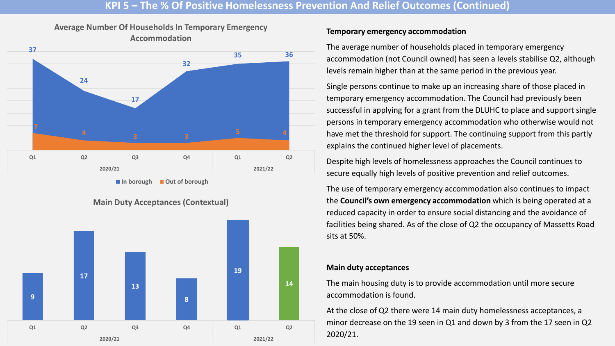## **KPI 5 – The % Of Positive Homelessness Prevention And Relief Outcomes (Continued)**



**In borough Out of borough**

**Main Duty Acceptances (Contextual)**



## **Temporary emergency accommodation**

The average number of households placed in temporary emergency accommodation (not Council owned) has seen a levels stabilise Q2, although levels remain higher than at the same period in the previous year.

Single persons continue to make up an increasing share of those placed in temporary emergency accommodation. The Council had previously been successful in applying for a grant from the DLUHC to place and support single persons in temporary emergency accommodation who otherwise would not have met the threshold for support. The continuing support from this partly explains the continued higher level of placements.

Despite high levels of homelessness approaches the Council continues to secure equally high levels of positive prevention and relief outcomes.

The use of temporary emergency accommodation also continues to impact the **Council's own emergency accommodation** which is being operated at a reduced capacity in order to ensure social distancing and the avoidance of facilities being shared. As of the close of Q2 the occupancy of Massetts Road sits at 50%.

## **Main duty acceptances**

The main housing duty is to provide accommodation until more secure accommodation is found.

At the close of Q2 there were 14 main duty homelessness acceptances, a minor decrease on the 19 seen in Q1 and down by 3 from the 17 seen in Q2 2020/21.

**Average Number Of Households In Temporary Emergency**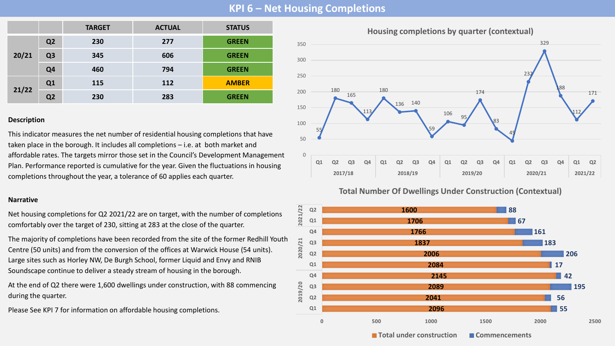# **KPI 6 – Net Housing Completions**

<span id="page-5-0"></span>

|       |                | <b>TARGET</b> | <b>ACTUAL</b> | <b>STATUS</b> |
|-------|----------------|---------------|---------------|---------------|
| 20/21 | Q <sub>2</sub> | 230           | 277           | <b>GREEN</b>  |
|       | Q <sub>3</sub> | 345           | 606           | <b>GREEN</b>  |
|       | Q4             | 460           | 794           | <b>GREEN</b>  |
| 21/22 | Q1             | 115           | 112           | <b>AMBER</b>  |
|       | Q <sub>2</sub> | 230           | 283           | <b>GREEN</b>  |

## **Description**

This indicator measures the net number of residential housing completions that have taken place in the borough. It includes all completions – i.e. at both market and affordable rates. The targets mirror those set in the Council's Development Management Plan. Performance reported is cumulative for the year. Given the fluctuations in housing completions throughout the year, a tolerance of 60 applies each quarter.

## **Narrative**

Net housing completions for Q2 2021/22 are on target, with the number of completions comfortably over the target of 230, sitting at 283 at the close of the quarter.

The majority of completions have been recorded from the site of the former Redhill Youth Centre (50 units) and from the conversion of the offices at Warwick House (54 units). Large sites such as Horley NW, De Burgh School, former Liquid and Envy and RNIB Soundscape continue to deliver a steady stream of housing in the borough.

At the end of Q2 there were 1,600 dwellings under construction, with 88 commencing during the quarter.

Please See KPI 7 for information on affordable housing completions.



## **Total Number Of Dwellings Under Construction (Contextual)**



**T** Total under construction **T** Commencements

**Housing completions by quarter (contextual)**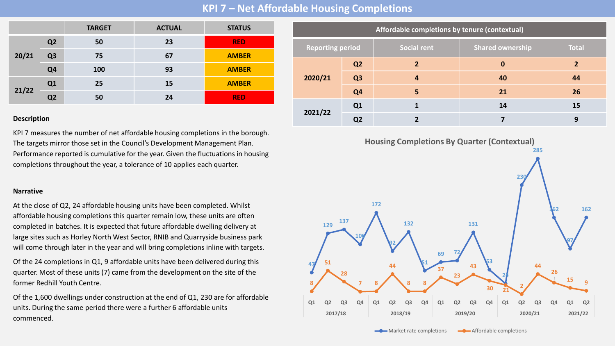**KPI 7 – Net Affordable Housing Completions**

|       |                | <b>TARGET</b> | <b>ACTUAL</b> | <b>STATUS</b> |
|-------|----------------|---------------|---------------|---------------|
|       | Q <sub>2</sub> | 50            | 23            | <b>RED</b>    |
| 20/21 | Q <sub>3</sub> | 75            | 67            | <b>AMBER</b>  |
|       | Q <sub>4</sub> | 100           | 93            | <b>AMBER</b>  |
| 21/22 | Q1             | 25            | <b>15</b>     | <b>AMBER</b>  |
|       | Q <sub>2</sub> | 50            | 24            | <b>RED</b>    |

KPI 7 measures the number of net affordable housing completions in the borough. The targets mirror those set in the Council's Development Management Plan. Performance reported is cumulative for the year. Given the fluctuations in housing completions throughout the year, a tolerance of 10 applies each quarter.

## **Narrative**

At the close of Q2, 24 affordable housing units have been completed. Whilst affordable housing completions this quarter remain low, these units are often completed in batches. It is expected that future affordable dwelling delivery at large sites such as Horley North West Sector, RNIB and Quarryside business park will come through later in the year and will bring completions inline with targets.

Of the 24 completions in Q1, 9 affordable units have been delivered during this quarter. Most of these units (7) came from the development on the site of the former Redhill Youth Centre.

Of the 1,600 dwellings under construction at the end of Q1, 230 are for affordable units. During the same period there were a further 6 affordable units commenced.

|                         | Affordable completions by tenure (contextual) |                |                          |                         |              |  |
|-------------------------|-----------------------------------------------|----------------|--------------------------|-------------------------|--------------|--|
| <b>Reporting period</b> |                                               |                | <b>Social rent</b>       | <b>Shared ownership</b> | <b>Total</b> |  |
|                         |                                               | Q <sub>2</sub> | $\overline{\phantom{a}}$ | $\bf{0}$                | 2            |  |
|                         | 2020/21                                       | Q <sub>3</sub> | 4                        | 40                      | 44           |  |
|                         | Q <sub>4</sub>                                | 5              | 21                       | 26                      |              |  |
|                         | 2021/22                                       | Q1             |                          | 14                      | 15           |  |
|                         |                                               | Q <sub>2</sub> |                          |                         | 9            |  |

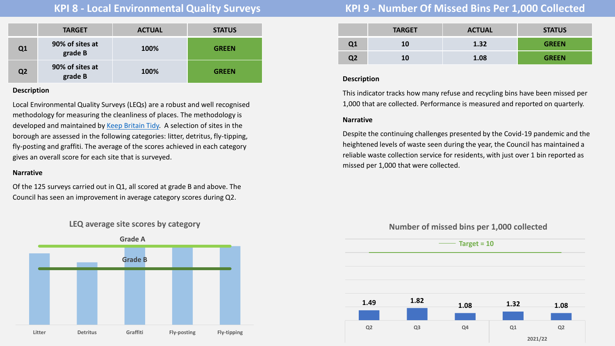<span id="page-7-0"></span>

|                | <b>TARGET</b>              | <b>ACTUAL</b> | <b>STATUS</b> |
|----------------|----------------------------|---------------|---------------|
| Q1             | 90% of sites at<br>grade B | 100%          | <b>GREEN</b>  |
| Q <sub>2</sub> | 90% of sites at<br>grade B | 100%          | <b>GREEN</b>  |

Local Environmental Quality Surveys (LEQs) are a robust and well recognised methodology for measuring the cleanliness of places. The methodology is developed and maintained by [Keep Britain Tidy.](https://www.keepbritaintidy.org/local-authorities/understand-your-problem/environmental-surveys) A selection of sites in the borough are assessed in the following categories: litter, detritus, fly-tipping, fly-posting and graffiti. The average of the scores achieved in each category gives an overall score for each site that is surveyed.

## **Narrative**

Of the 125 surveys carried out in Q1, all scored at grade B and above. The Council has seen an improvement in average category scores during Q2.



# **KPI 8 - Local Environmental Quality Surveys KPI 9 - Number Of Missed Bins Per 1,000 Collected**

|    | <b>TARGET</b> | <b>ACTUAL</b> | <b>STATUS</b> |
|----|---------------|---------------|---------------|
| Q1 | <b>10</b>     | 1.32          | <b>GREEN</b>  |
| Q2 | 10            | 1.08          | <b>GREEN</b>  |

## **Description**

This indicator tracks how many refuse and recycling bins have been missed per 1,000 that are collected. Performance is measured and reported on quarterly.

## **Narrative**

Despite the continuing challenges presented by the Covid-19 pandemic and the heightened levels of waste seen during the year, the Council has maintained a reliable waste collection service for residents, with just over 1 bin reported as missed per 1,000 that were collected.